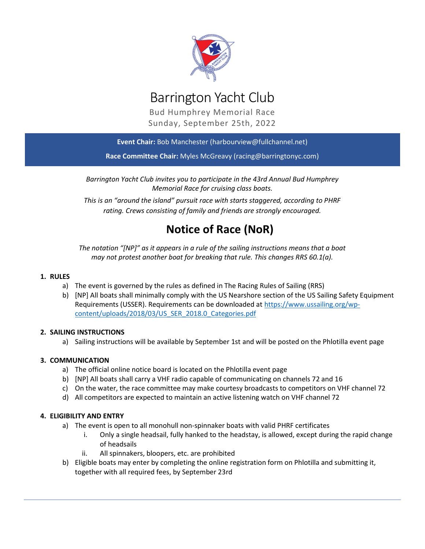

# Barrington Yacht Club

Bud Humphrey Memorial Race Sunday, September 25th, 2022

Event Chair: Bob Manchester (harbourview@fullchannel.net)

Race Committee Chair: Myles McGreavy (racing@barringtonyc.com)

Barrington Yacht Club invites you to participate in the 43rd Annual Bud Humphrey Memorial Race for cruising class boats.

This is an "around the island" pursuit race with starts staggered, according to PHRF rating. Crews consisting of family and friends are strongly encouraged.

## Notice of Race (NoR)

The notation "[NP]" as it appears in a rule of the sailing instructions means that a boat may not protest another boat for breaking that rule. This changes RRS 60.1(a).

## 1. RULES

- a) The event is governed by the rules as defined in The Racing Rules of Sailing (RRS)
- b) [NP] All boats shall minimally comply with the US Nearshore section of the US Sailing Safety Equipment Requirements (USSER). Requirements can be downloaded at https://www.ussailing.org/wpcontent/uploads/2018/03/US\_SER\_2018.0\_Categories.pdf

### 2. SAILING INSTRUCTIONS

a) Sailing instructions will be available by September 1st and will be posted on the Phlotilla event page

## 3. COMMUNICATION

- a) The official online notice board is located on the Phlotilla event page
- b) [NP] All boats shall carry a VHF radio capable of communicating on channels 72 and 16
- c) On the water, the race committee may make courtesy broadcasts to competitors on VHF channel 72
- d) All competitors are expected to maintain an active listening watch on VHF channel 72

### 4. ELIGIBILITY AND ENTRY

- a) The event is open to all monohull non-spinnaker boats with valid PHRF certificates
	- i. Only a single headsail, fully hanked to the headstay, is allowed, except during the rapid change of headsails
	- ii. All spinnakers, bloopers, etc. are prohibited
- b) Eligible boats may enter by completing the online registration form on Phlotilla and submitting it, together with all required fees, by September 23rd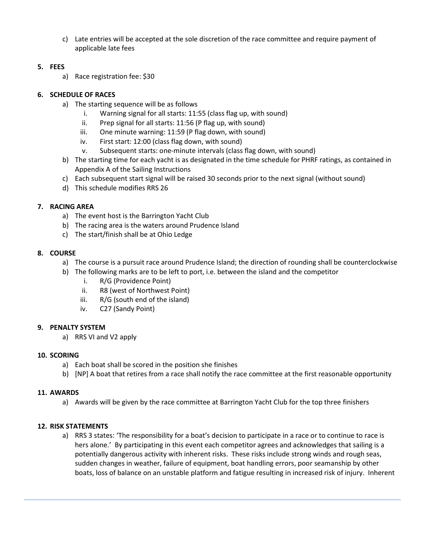c) Late entries will be accepted at the sole discretion of the race committee and require payment of applicable late fees

## 5. FEES

a) Race registration fee: \$30

## 6. SCHEDULE OF RACES

- a) The starting sequence will be as follows
	- i. Warning signal for all starts: 11:55 (class flag up, with sound)
	- ii. Prep signal for all starts: 11:56 (P flag up, with sound)
	- iii. One minute warning: 11:59 (P flag down, with sound)
	- iv. First start: 12:00 (class flag down, with sound)
	- v. Subsequent starts: one-minute intervals (class flag down, with sound)
- b) The starting time for each yacht is as designated in the time schedule for PHRF ratings, as contained in Appendix A of the Sailing Instructions
- c) Each subsequent start signal will be raised 30 seconds prior to the next signal (without sound)
- d) This schedule modifies RRS 26

## 7. RACING AREA

- a) The event host is the Barrington Yacht Club
- b) The racing area is the waters around Prudence Island
- c) The start/finish shall be at Ohio Ledge

## 8. COURSE

- a) The course is a pursuit race around Prudence Island; the direction of rounding shall be counterclockwise
- b) The following marks are to be left to port, i.e. between the island and the competitor
	- i. R/G (Providence Point)
	- ii. R8 (west of Northwest Point)
	- iii. R/G (south end of the island)
	- iv. C27 (Sandy Point)

## 9. PENALTY SYSTEM

a) RRS VI and V2 apply

## 10. SCORING

- a) Each boat shall be scored in the position she finishes
- b) [NP] A boat that retires from a race shall notify the race committee at the first reasonable opportunity

## 11. AWARDS

a) Awards will be given by the race committee at Barrington Yacht Club for the top three finishers

## 12. RISK STATEMENTS

a) RRS 3 states: 'The responsibility for a boat's decision to participate in a race or to continue to race is hers alone.' By participating in this event each competitor agrees and acknowledges that sailing is a potentially dangerous activity with inherent risks. These risks include strong winds and rough seas, sudden changes in weather, failure of equipment, boat handling errors, poor seamanship by other boats, loss of balance on an unstable platform and fatigue resulting in increased risk of injury. Inherent